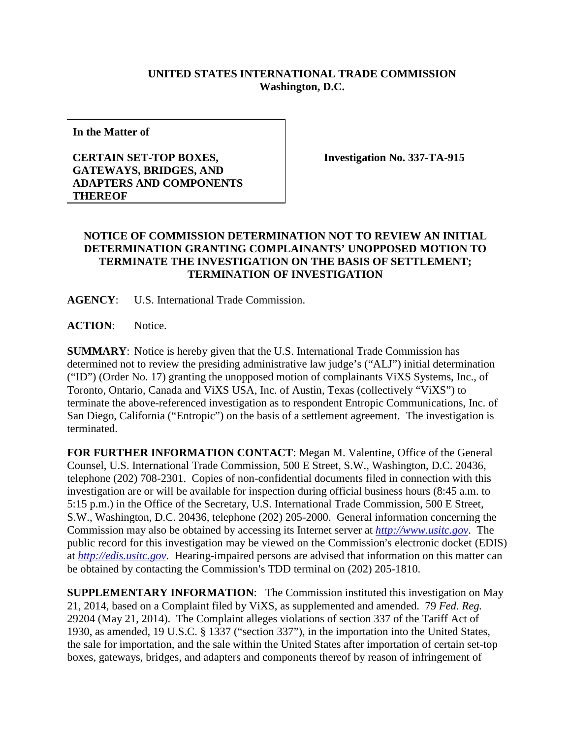## **UNITED STATES INTERNATIONAL TRADE COMMISSION Washington, D.C.**

**In the Matter of**

## **CERTAIN SET-TOP BOXES, GATEWAYS, BRIDGES, AND ADAPTERS AND COMPONENTS THEREOF**

**Investigation No. 337-TA-915**

## **NOTICE OF COMMISSION DETERMINATION NOT TO REVIEW AN INITIAL DETERMINATION GRANTING COMPLAINANTS' UNOPPOSED MOTION TO TERMINATE THE INVESTIGATION ON THE BASIS OF SETTLEMENT; TERMINATION OF INVESTIGATION**

**AGENCY**: U.S. International Trade Commission.

**ACTION**: Notice.

**SUMMARY**: Notice is hereby given that the U.S. International Trade Commission has determined not to review the presiding administrative law judge's ("ALJ") initial determination ("ID") (Order No. 17) granting the unopposed motion of complainants ViXS Systems, Inc., of Toronto, Ontario, Canada and ViXS USA, Inc. of Austin, Texas (collectively "ViXS") to terminate the above-referenced investigation as to respondent Entropic Communications, Inc. of San Diego, California ("Entropic") on the basis of a settlement agreement. The investigation is terminated.

**FOR FURTHER INFORMATION CONTACT**: Megan M. Valentine, Office of the General Counsel, U.S. International Trade Commission, 500 E Street, S.W., Washington, D.C. 20436, telephone (202) 708-2301. Copies of non-confidential documents filed in connection with this investigation are or will be available for inspection during official business hours (8:45 a.m. to 5:15 p.m.) in the Office of the Secretary, U.S. International Trade Commission, 500 E Street, S.W., Washington, D.C. 20436, telephone (202) 205-2000. General information concerning the Commission may also be obtained by accessing its Internet server at *[http://www.usitc.gov](http://www.usitc.gov/)*. The public record for this investigation may be viewed on the Commission's electronic docket (EDIS) at *[http://edis.usitc.gov](http://edis.usitc.gov/)*. Hearing-impaired persons are advised that information on this matter can be obtained by contacting the Commission's TDD terminal on (202) 205-1810.

**SUPPLEMENTARY INFORMATION**: The Commission instituted this investigation on May 21, 2014, based on a Complaint filed by ViXS, as supplemented and amended. 79 *Fed. Reg.* 29204 (May 21, 2014). The Complaint alleges violations of section 337 of the Tariff Act of 1930, as amended, 19 U.S.C. § 1337 ("section 337"), in the importation into the United States, the sale for importation, and the sale within the United States after importation of certain set-top boxes, gateways, bridges, and adapters and components thereof by reason of infringement of